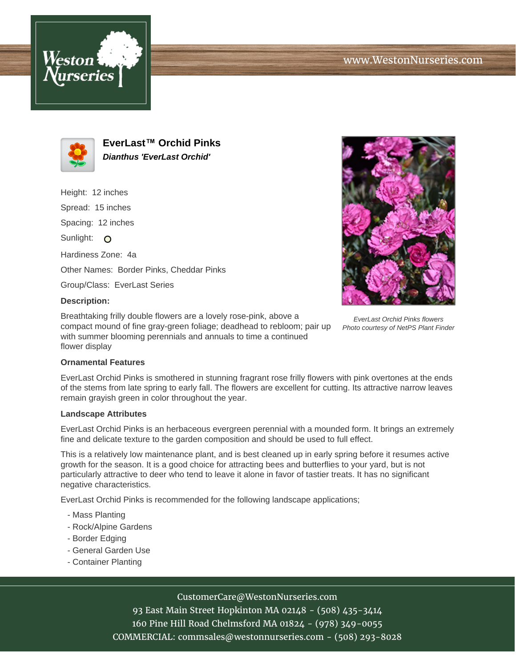



**EverLast™ Orchid Pinks Dianthus 'EverLast Orchid'**

Height: 12 inches

Spread: 15 inches

Spacing: 12 inches

Sunlight: O

Hardiness Zone: 4a

Other Names: Border Pinks, Cheddar Pinks

Group/Class: EverLast Series

# **Description:**

Breathtaking frilly double flowers are a lovely rose-pink, above a compact mound of fine gray-green foliage; deadhead to rebloom; pair up with summer blooming perennials and annuals to time a continued flower display



EverLast Orchid Pinks flowers Photo courtesy of NetPS Plant Finder

### **Ornamental Features**

EverLast Orchid Pinks is smothered in stunning fragrant rose frilly flowers with pink overtones at the ends of the stems from late spring to early fall. The flowers are excellent for cutting. Its attractive narrow leaves remain grayish green in color throughout the year.

### **Landscape Attributes**

EverLast Orchid Pinks is an herbaceous evergreen perennial with a mounded form. It brings an extremely fine and delicate texture to the garden composition and should be used to full effect.

This is a relatively low maintenance plant, and is best cleaned up in early spring before it resumes active growth for the season. It is a good choice for attracting bees and butterflies to your yard, but is not particularly attractive to deer who tend to leave it alone in favor of tastier treats. It has no significant negative characteristics.

EverLast Orchid Pinks is recommended for the following landscape applications;

- Mass Planting
- Rock/Alpine Gardens
- Border Edging
- General Garden Use
- Container Planting

# CustomerCare@WestonNurseries.com

93 East Main Street Hopkinton MA 02148 - (508) 435-3414 160 Pine Hill Road Chelmsford MA 01824 - (978) 349-0055 COMMERCIAL: commsales@westonnurseries.com - (508) 293-8028